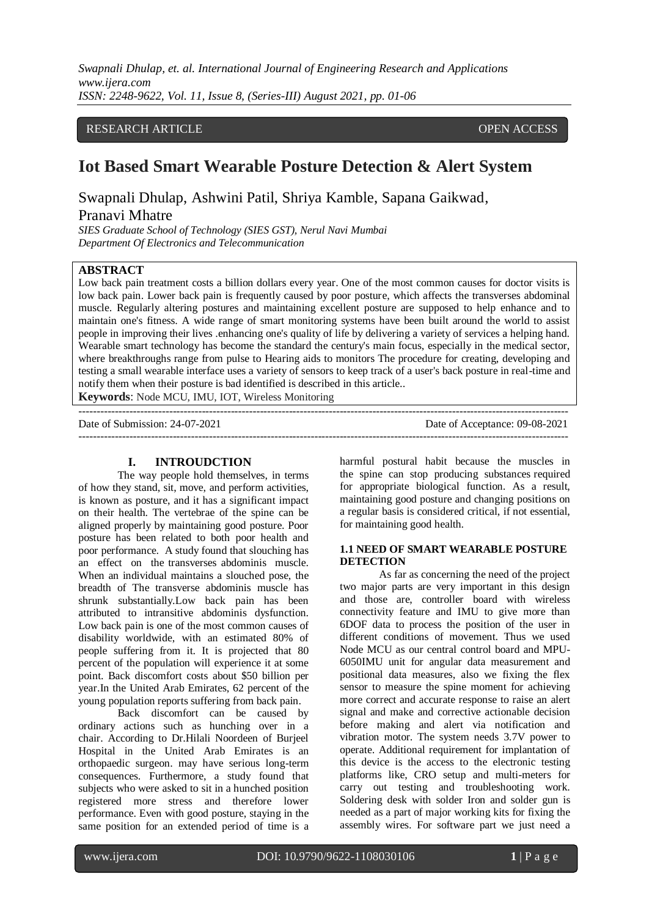## RESEARCH ARTICLE **CONSERVERS** OPEN ACCESS

# **Iot Based Smart Wearable Posture Detection & Alert System**

Swapnali Dhulap, Ashwini Patil, Shriya Kamble, Sapana Gaikwad,

## Pranavi Mhatre

*SIES Graduate School of Technology (SIES GST), Nerul Navi Mumbai Department Of Electronics and Telecommunication* 

## **ABSTRACT**

Low back pain treatment costs a billion dollars every year. One of the most common causes for doctor visits is low back pain. Lower back pain is frequently caused by poor posture, which affects the transverses abdominal muscle. Regularly altering postures and maintaining excellent posture are supposed to help enhance and to maintain one's fitness. A wide range of smart monitoring systems have been built around the world to assist people in improving their lives .enhancing one's quality of life by delivering a variety of services a helping hand. Wearable smart technology has become the standard the century's main focus, especially in the medical sector, where breakthroughs range from pulse to Hearing aids to monitors The procedure for creating, developing and testing a small wearable interface uses a variety of sensors to keep track of a user's back posture in real-time and notify them when their posture is bad identified is described in this article..

**Keywords**: Node MCU, IMU, IOT, Wireless Monitoring

| Date of Submission: 24-07-2021 | Date of Acceptance: 09-08-2021 |
|--------------------------------|--------------------------------|
|                                |                                |

### **I. INTROUDCTION**

The way people hold themselves, in terms of how they stand, sit, move, and perform activities, is known as posture, and it has a significant impact on their health. The vertebrae of the spine can be aligned properly by maintaining good posture. Poor posture has been related to both poor health and poor performance. A study found that slouching has an effect on the transverses abdominis muscle. When an individual maintains a slouched pose, the breadth of The transverse abdominis muscle has shrunk substantially.Low back pain has been attributed to intransitive abdominis dysfunction. Low back pain is one of the most common causes of disability worldwide, with an estimated 80% of people suffering from it. It is projected that 80 percent of the population will experience it at some point. Back discomfort costs about \$50 billion per year.In the United Arab Emirates, 62 percent of the young population reports suffering from back pain.

Back discomfort can be caused by ordinary actions such as hunching over in a chair. According to Dr.Hilali Noordeen of Burjeel Hospital in the United Arab Emirates is an orthopaedic surgeon. may have serious long-term consequences. Furthermore, a study found that subjects who were asked to sit in a hunched position registered more stress and therefore lower performance. Even with good posture, staying in the same position for an extended period of time is a harmful postural habit because the muscles in the spine can stop producing substances required for appropriate biological function. As a result, maintaining good posture and changing positions on a regular basis is considered critical, if not essential, for maintaining good health.

### **1.1 NEED OF SMART WEARABLE POSTURE DETECTION**

As far as concerning the need of the project two major parts are very important in this design and those are, controller board with wireless connectivity feature and IMU to give more than 6DOF data to process the position of the user in different conditions of movement. Thus we used Node MCU as our central control board and MPU-6050IMU unit for angular data measurement and positional data measures, also we fixing the flex sensor to measure the spine moment for achieving more correct and accurate response to raise an alert signal and make and corrective actionable decision before making and alert via notification and vibration motor. The system needs 3.7V power to operate. Additional requirement for implantation of this device is the access to the electronic testing platforms like, CRO setup and multi-meters for carry out testing and troubleshooting work. Soldering desk with solder Iron and solder gun is needed as a part of major working kits for fixing the assembly wires. For software part we just need a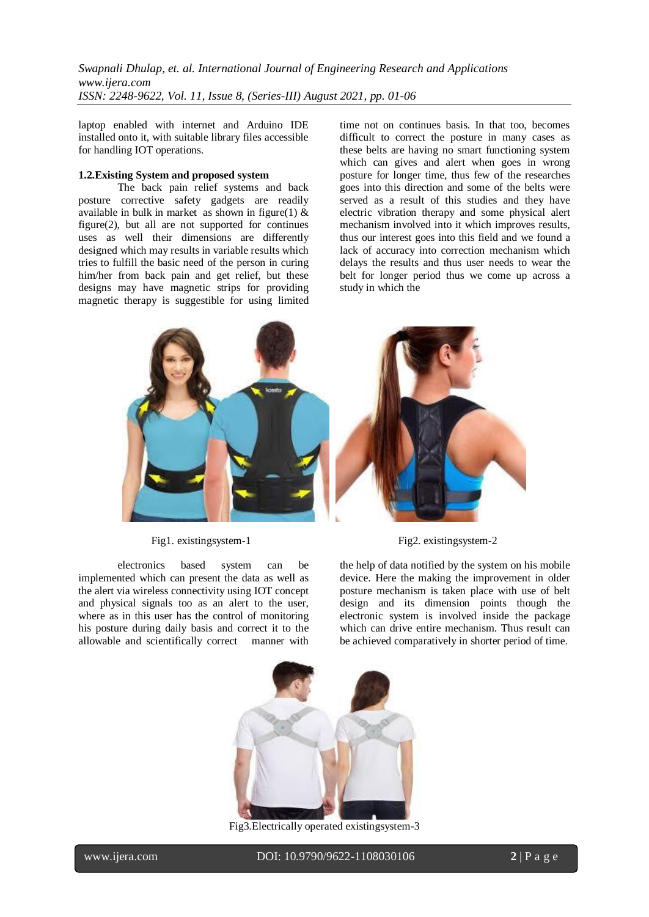laptop enabled with internet and Arduino IDE installed onto it, with suitable library files accessible for handling IOT operations.

#### **1.2.Existing System and proposed system**

The back pain relief systems and back posture corrective safety gadgets are readily available in bulk in market as shown in figure(1)  $\&$ figure(2), but all are not supported for continues uses as well their dimensions are differently designed which may results in variable results which tries to fulfill the basic need of the person in curing him/her from back pain and get relief, but these designs may have magnetic strips for providing magnetic therapy is suggestible for using limited time not on continues basis. In that too, becomes difficult to correct the posture in many cases as these belts are having no smart functioning system which can gives and alert when goes in wrong posture for longer time, thus few of the researches goes into this direction and some of the belts were served as a result of this studies and they have electric vibration therapy and some physical alert mechanism involved into it which improves results, thus our interest goes into this field and we found a lack of accuracy into correction mechanism which delays the results and thus user needs to wear the belt for longer period thus we come up across a study in which the



electronics based system can be implemented which can present the data as well as the alert via wireless connectivity using IOT concept and physical signals too as an alert to the user, where as in this user has the control of monitoring his posture during daily basis and correct it to the allowable and scientifically correct manner with

Fig1. existingsystem-1 Fig2. existingsystem-2

the help of data notified by the system on his mobile device. Here the making the improvement in older posture mechanism is taken place with use of belt design and its dimension points though the electronic system is involved inside the package which can drive entire mechanism. Thus result can be achieved comparatively in shorter period of time.



Fig3.Electrically operated existingsystem-3

I

www.ijera.com DOI: 10.9790/9622-1108030106 **2** | P a g e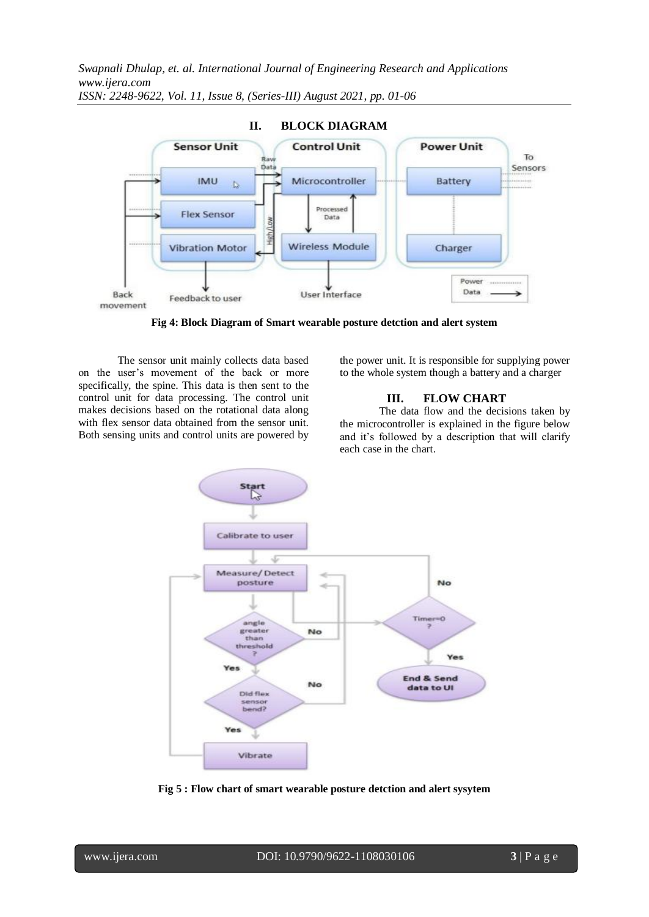

**Fig 4: Block Diagram of Smart wearable posture detction and alert system**

The sensor unit mainly collects data based on the user's movement of the back or more specifically, the spine. This data is then sent to the control unit for data processing. The control unit makes decisions based on the rotational data along with flex sensor data obtained from the sensor unit. Both sensing units and control units are powered by the power unit. It is responsible for supplying power to the whole system though a battery and a charger

## **III. FLOW CHART**

The data flow and the decisions taken by the microcontroller is explained in the figure below and it's followed by a description that will clarify each case in the chart.



**Fig 5 : Flow chart of smart wearable posture detction and alert sysytem**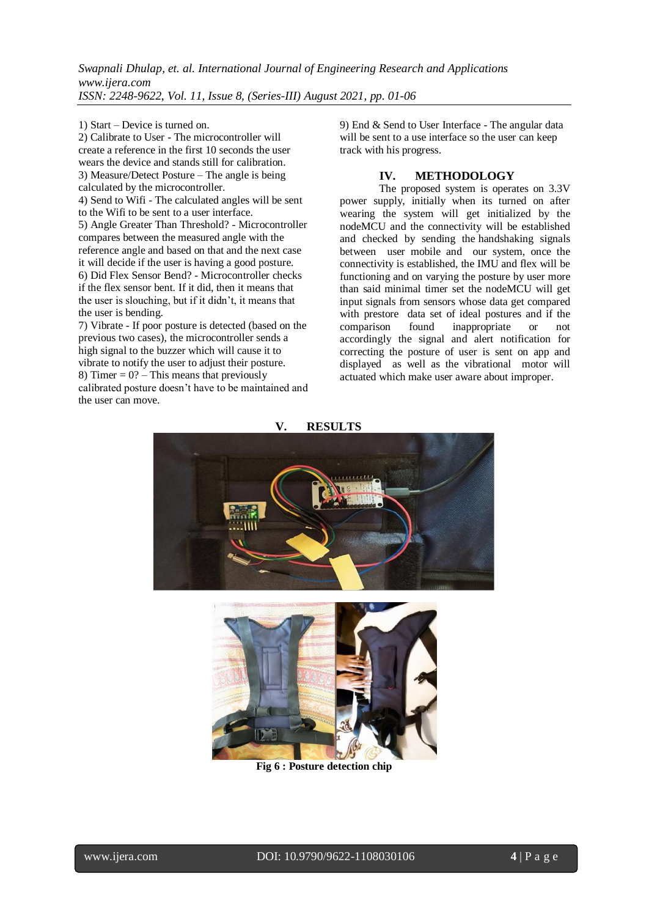1) Start – Device is turned on.

2) Calibrate to User - The microcontroller will create a reference in the first 10 seconds the user wears the device and stands still for calibration. 3) Measure/Detect Posture – The angle is being calculated by the microcontroller. 4) Send to Wifi - The calculated angles will be sent to the Wifi to be sent to a user interface.

5) Angle Greater Than Threshold? - Microcontroller compares between the measured angle with the reference angle and based on that and the next case it will decide if the user is having a good posture. 6) Did Flex Sensor Bend? - Microcontroller checks if the flex sensor bent. If it did, then it means that the user is slouching, but if it didn't, it means that the user is bending.

7) Vibrate - If poor posture is detected (based on the previous two cases), the microcontroller sends a high signal to the buzzer which will cause it to vibrate to notify the user to adjust their posture. 8) Timer =  $0$ ? – This means that previously calibrated posture doesn't have to be maintained and the user can move.

9) End & Send to User Interface - The angular data will be sent to a use interface so the user can keep track with his progress.

## **IV. METHODOLOGY**

The proposed system is operates on 3.3V power supply, initially when its turned on after wearing the system will get initialized by the nodeMCU and the connectivity will be established and checked by sending the handshaking signals between user mobile and our system, once the connectivity is established, the IMU and flex will be functioning and on varying the posture by user more than said minimal timer set the nodeMCU will get input signals from sensors whose data get compared with prestore data set of ideal postures and if the comparison found inappropriate or not accordingly the signal and alert notification for correcting the posture of user is sent on app and displayed as well as the vibrational motor will actuated which make user aware about improper.





**Fig 6 : Posture detection chip**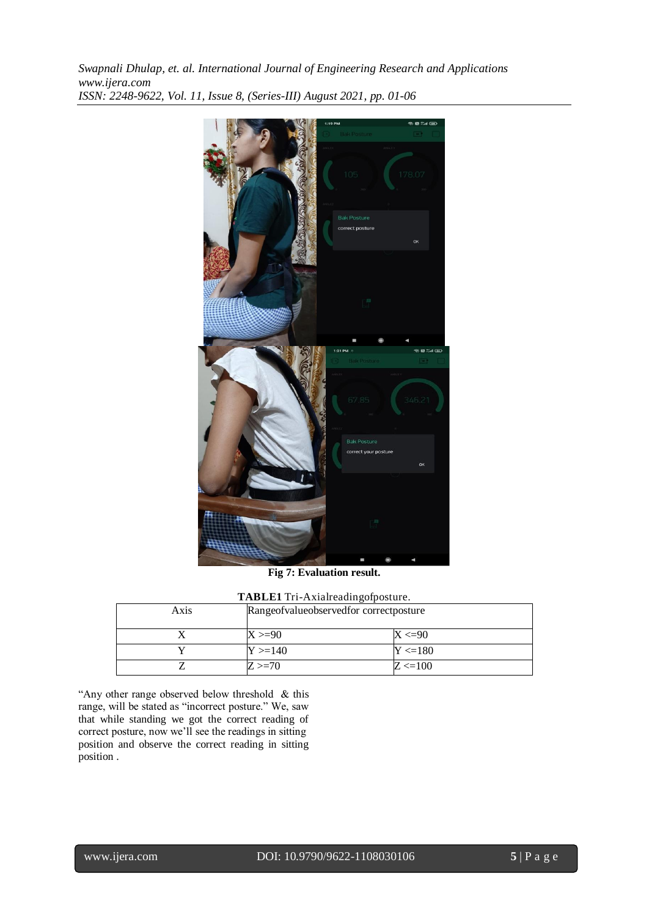

**Fig 7: Evaluation result.**

|  |  |  |  | TABLE1 Tri-Axialreadingofposture. |
|--|--|--|--|-----------------------------------|
|--|--|--|--|-----------------------------------|

| Axis | Rangeofvalueobservedfor correctposture |             |  |
|------|----------------------------------------|-------------|--|
|      | $X > = 90$                             | $X < = 90$  |  |
|      | $Y > = 140$                            | $Y < = 180$ |  |
|      | $Z > = 70$                             | $Z \le 100$ |  |

"Any other range observed below threshold & this range, will be stated as "incorrect posture." We, saw that while standing we got the correct reading of correct posture, now we'll see the readings in sitting position and observe the correct reading in sitting position .